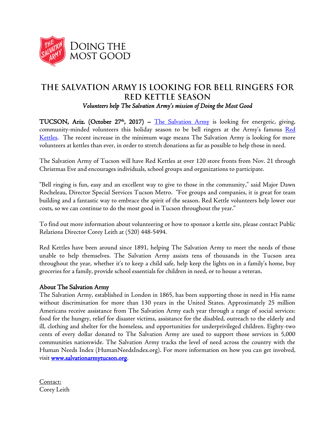

## THE SALVATION ARMY IS LOOKING FOR BELL RINGERS FOR **RED KETTLE SEASON** *Volunteers help The Salvation Army's mission of Doing the Most Good*

TUCSON, Ariz. (October 27<sup>th</sup>, 2017) – <u>[The Salvation Army](http://www.salvationarmytucson.org/)</u> is looking for energetic, giving, community-minded volunteers this holiday season to be bell ringers at the Army's famous Red [Kettles.](http://www.salvationarmyusa.org/usn/red-kettle-history/) The recent increase in the minimum wage means The Salvation Army is looking for more volunteers at kettles than ever, in order to stretch donations as far as possible to help those in need.

The Salvation Army of Tucson will have Red Kettles at over 120 store fronts from Nov. 21 through Christmas Eve and encourages individuals, school groups and organizations to participate.

"Bell ringing is fun, easy and an excellent way to give to those in the community," said Major Dawn Rocheleau, Director Special Services Tucson Metro. "For groups and companies, it is great for team building and a fantastic way to embrace the spirit of the season. Red Kettle volunteers help lower our costs, so we can continue to do the most good in Tucson throughout the year."

To find out more information about volunteering or how to sponsor a kettle site, please contact Public Relations Director Corey Leith at (520) 448-5494.

Red Kettles have been around since 1891, helping The Salvation Army to meet the needs of those unable to help themselves. The Salvation Army assists tens of thousands in the Tucson area throughout the year, whether it's to keep a child safe, help keep the lights on in a family's home, buy groceries for a family, provide school essentials for children in need, or to house a veteran.

## About The Salvation Army

The Salvation Army, established in London in 1865, has been supporting those in need in His name without discrimination for more than 130 years in the United States. Approximately 25 million Americans receive assistance from The Salvation Army each year through a range of social services: food for the hungry, relief for disaster victims, assistance for the disabled, outreach to the elderly and ill, clothing and shelter for the homeless, and opportunities for underprivileged children. Eighty-two cents of every dollar donated to The Salvation Army are used to support those services in 5,000 communities nationwide. The Salvation Army tracks the level of need across the country with the Human Needs Index (HumanNeedsIndex.org). For more information on how you can get involved, visit [www.salvationarmytucson.org.](http://www.salvationarmytucson.org/)

Contact: Corey Leith